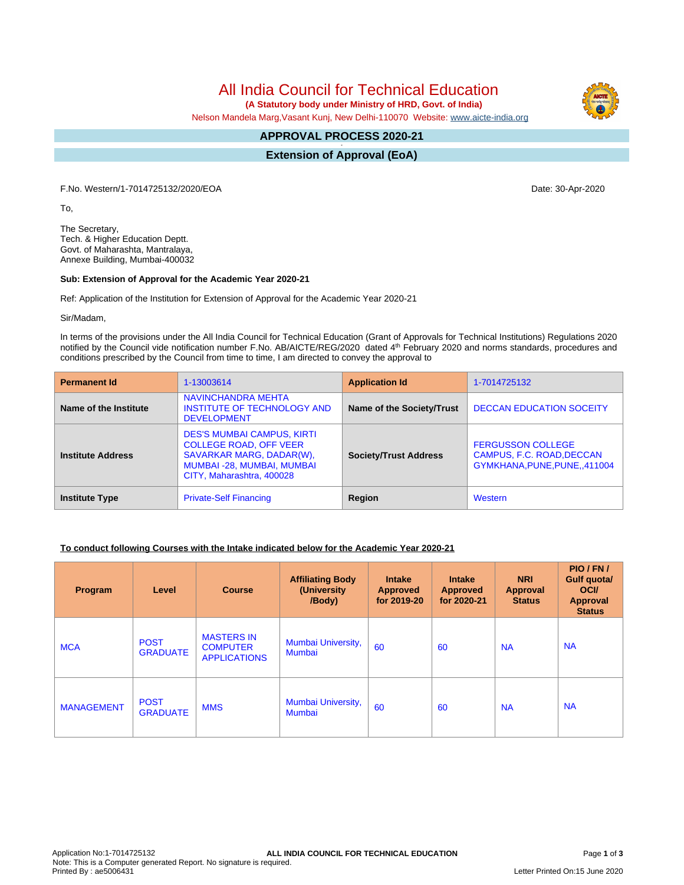All India Council for Technical Education

 **(A Statutory body under Ministry of HRD, Govt. of India)**

Nelson Mandela Marg,Vasant Kunj, New Delhi-110070 Website: [www.aicte-india.org](http://www.aicte-india.org)

#### **APPROVAL PROCESS 2020-21 -**

**Extension of Approval (EoA)**

F.No. Western/1-7014725132/2020/EOA Date: 30-Apr-2020

To,

The Secretary, Tech. & Higher Education Deptt. Govt. of Maharashta, Mantralaya, Annexe Building, Mumbai-400032

#### **Sub: Extension of Approval for the Academic Year 2020-21**

Ref: Application of the Institution for Extension of Approval for the Academic Year 2020-21

Sir/Madam,

In terms of the provisions under the All India Council for Technical Education (Grant of Approvals for Technical Institutions) Regulations 2020 notified by the Council vide notification number F.No. AB/AICTE/REG/2020 dated 4<sup>th</sup> February 2020 and norms standards, procedures and conditions prescribed by the Council from time to time, I am directed to convey the approval to

| <b>Permanent Id</b>      | 1-13003614                                                                                                                                                | <b>Application Id</b>        | 1-7014725132                                                                          |  |
|--------------------------|-----------------------------------------------------------------------------------------------------------------------------------------------------------|------------------------------|---------------------------------------------------------------------------------------|--|
| Name of the Institute    | NAVINCHANDRA MEHTA<br>INSTITUTE OF TECHNOLOGY AND<br><b>DEVELOPMENT</b>                                                                                   | Name of the Society/Trust    | <b>DECCAN EDUCATION SOCEITY</b>                                                       |  |
| <b>Institute Address</b> | <b>DES'S MUMBAI CAMPUS, KIRTI</b><br><b>COLLEGE ROAD, OFF VEER</b><br>SAVARKAR MARG, DADAR(W),<br>MUMBAI -28, MUMBAI, MUMBAI<br>CITY, Maharashtra, 400028 | <b>Society/Trust Address</b> | <b>FERGUSSON COLLEGE</b><br>CAMPUS, F.C. ROAD, DECCAN<br>GYMKHANA, PUNE, PUNE, 411004 |  |
| <b>Institute Type</b>    | <b>Private-Self Financing</b>                                                                                                                             | Region                       | Western                                                                               |  |

## **To conduct following Courses with the Intake indicated below for the Academic Year 2020-21**

| Program           | Level                          | <b>Course</b>                                               | <b>Affiliating Body</b><br>(University)<br>/Body) | <b>Intake</b><br><b>Approved</b><br>for 2019-20 | <b>Intake</b><br><b>Approved</b><br>for 2020-21 | <b>NRI</b><br>Approval<br><b>Status</b> | PIO/FN/<br>Gulf quota/<br><b>OCI</b><br><b>Approval</b><br><b>Status</b> |
|-------------------|--------------------------------|-------------------------------------------------------------|---------------------------------------------------|-------------------------------------------------|-------------------------------------------------|-----------------------------------------|--------------------------------------------------------------------------|
| <b>MCA</b>        | <b>POST</b><br><b>GRADUATE</b> | <b>MASTERS IN</b><br><b>COMPUTER</b><br><b>APPLICATIONS</b> | Mumbai University,<br>Mumbai                      | 60                                              | 60                                              | <b>NA</b>                               | <b>NA</b>                                                                |
| <b>MANAGEMENT</b> | <b>POST</b><br><b>GRADUATE</b> | <b>MMS</b>                                                  | Mumbai University,<br><b>Mumbai</b>               | 60                                              | 60                                              | <b>NA</b>                               | <b>NA</b>                                                                |



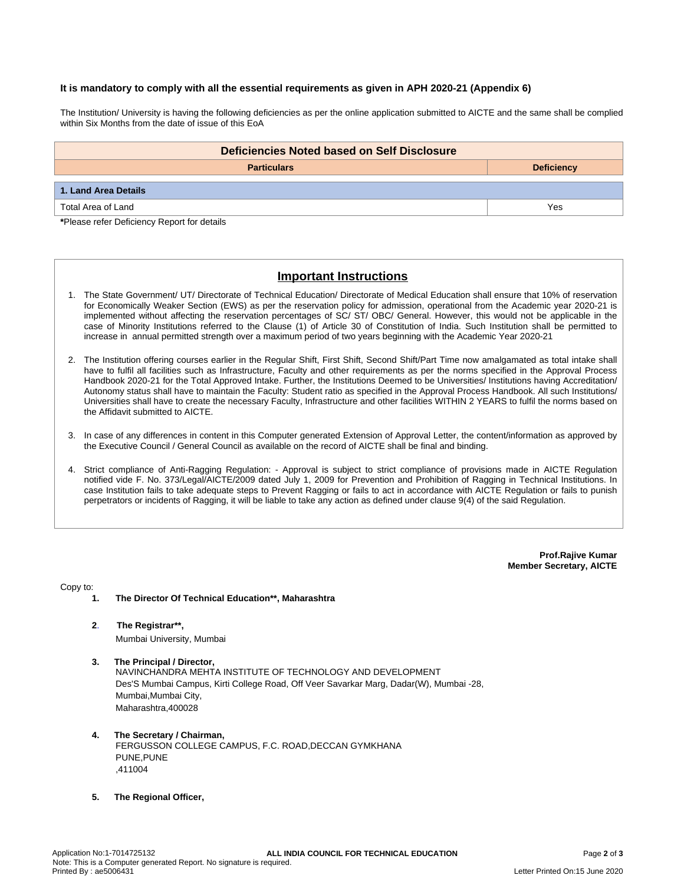#### **It is mandatory to comply with all the essential requirements as given in APH 2020-21 (Appendix 6)**

The Institution/ University is having the following deficiencies as per the online application submitted to AICTE and the same shall be complied within Six Months from the date of issue of this EoA

| Deficiencies Noted based on Self Disclosure |                   |  |  |  |  |
|---------------------------------------------|-------------------|--|--|--|--|
| <b>Particulars</b>                          | <b>Deficiency</b> |  |  |  |  |
| 1. Land Area Details                        |                   |  |  |  |  |
| Total Area of Land                          | Yes               |  |  |  |  |

**\***Please refer Deficiency Report for details

# **Important Instructions**

- 1. The State Government/ UT/ Directorate of Technical Education/ Directorate of Medical Education shall ensure that 10% of reservation for Economically Weaker Section (EWS) as per the reservation policy for admission, operational from the Academic year 2020-21 is implemented without affecting the reservation percentages of SC/ ST/ OBC/ General. However, this would not be applicable in the case of Minority Institutions referred to the Clause (1) of Article 30 of Constitution of India. Such Institution shall be permitted to increase in annual permitted strength over a maximum period of two years beginning with the Academic Year 2020-21
- 2. The Institution offering courses earlier in the Regular Shift, First Shift, Second Shift/Part Time now amalgamated as total intake shall have to fulfil all facilities such as Infrastructure, Faculty and other requirements as per the norms specified in the Approval Process Handbook 2020-21 for the Total Approved Intake. Further, the Institutions Deemed to be Universities/ Institutions having Accreditation/ Autonomy status shall have to maintain the Faculty: Student ratio as specified in the Approval Process Handbook. All such Institutions/ Universities shall have to create the necessary Faculty, Infrastructure and other facilities WITHIN 2 YEARS to fulfil the norms based on the Affidavit submitted to AICTE.
- 3. In case of any differences in content in this Computer generated Extension of Approval Letter, the content/information as approved by the Executive Council / General Council as available on the record of AICTE shall be final and binding.
- 4. Strict compliance of Anti-Ragging Regulation: Approval is subject to strict compliance of provisions made in AICTE Regulation notified vide F. No. 373/Legal/AICTE/2009 dated July 1, 2009 for Prevention and Prohibition of Ragging in Technical Institutions. In case Institution fails to take adequate steps to Prevent Ragging or fails to act in accordance with AICTE Regulation or fails to punish perpetrators or incidents of Ragging, it will be liable to take any action as defined under clause 9(4) of the said Regulation.

**Prof.Rajive Kumar Member Secretary, AICTE**

Copy to:

- **1. The Director Of Technical Education\*\*, Maharashtra**
- **2**. **The Registrar\*\*,** Mumbai University, Mumbai
- **3. The Principal / Director,** NAVINCHANDRA MEHTA INSTITUTE OF TECHNOLOGY AND DEVELOPMENT Des'S Mumbai Campus, Kirti College Road, Off Veer Savarkar Marg, Dadar(W), Mumbai -28, Mumbai,Mumbai City, Maharashtra,400028
- **4. The Secretary / Chairman,** FERGUSSON COLLEGE CAMPUS, F.C. ROAD,DECCAN GYMKHANA PUNE,PUNE ,411004
- **5. The Regional Officer,**